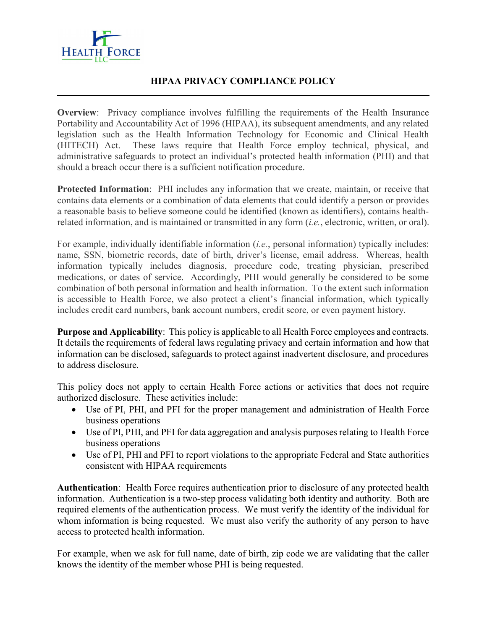

l

#### HIPAA PRIVACY COMPLIANCE POLICY

Overview: Privacy compliance involves fulfilling the requirements of the Health Insurance Portability and Accountability Act of 1996 (HIPAA), its subsequent amendments, and any related legislation such as the Health Information Technology for Economic and Clinical Health (HITECH) Act. These laws require that Health Force employ technical, physical, and administrative safeguards to protect an individual's protected health information (PHI) and that should a breach occur there is a sufficient notification procedure.

Protected Information: PHI includes any information that we create, maintain, or receive that contains data elements or a combination of data elements that could identify a person or provides a reasonable basis to believe someone could be identified (known as identifiers), contains healthrelated information, and is maintained or transmitted in any form *(i.e.*, electronic, written, or oral).

For example, individually identifiable information *(i.e.*, personal information) typically includes: name, SSN, biometric records, date of birth, driver's license, email address. Whereas, health information typically includes diagnosis, procedure code, treating physician, prescribed medications, or dates of service. Accordingly, PHI would generally be considered to be some combination of both personal information and health information. To the extent such information is accessible to Health Force, we also protect a client's financial information, which typically includes credit card numbers, bank account numbers, credit score, or even payment history.

Purpose and Applicability: This policy is applicable to all Health Force employees and contracts. It details the requirements of federal laws regulating privacy and certain information and how that information can be disclosed, safeguards to protect against inadvertent disclosure, and procedures to address disclosure.

This policy does not apply to certain Health Force actions or activities that does not require authorized disclosure. These activities include:

- Use of PI, PHI, and PFI for the proper management and administration of Health Force business operations
- Use of PI, PHI, and PFI for data aggregation and analysis purposes relating to Health Force business operations
- Use of PI, PHI and PFI to report violations to the appropriate Federal and State authorities consistent with HIPAA requirements

Authentication: Health Force requires authentication prior to disclosure of any protected health information. Authentication is a two-step process validating both identity and authority. Both are required elements of the authentication process. We must verify the identity of the individual for whom information is being requested. We must also verify the authority of any person to have access to protected health information.

For example, when we ask for full name, date of birth, zip code we are validating that the caller knows the identity of the member whose PHI is being requested.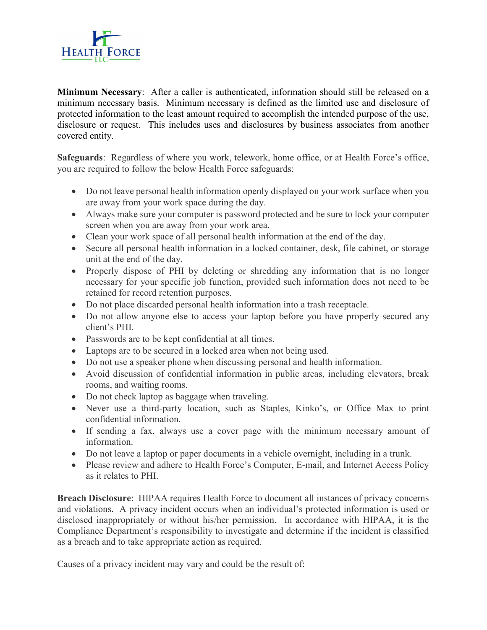

Minimum Necessary: After a caller is authenticated, information should still be released on a minimum necessary basis. Minimum necessary is defined as the limited use and disclosure of protected information to the least amount required to accomplish the intended purpose of the use, disclosure or request. This includes uses and disclosures by business associates from another covered entity.

Safeguards: Regardless of where you work, telework, home office, or at Health Force's office, you are required to follow the below Health Force safeguards:

- Do not leave personal health information openly displayed on your work surface when you are away from your work space during the day.
- Always make sure your computer is password protected and be sure to lock your computer screen when you are away from your work area.
- Clean your work space of all personal health information at the end of the day.
- Secure all personal health information in a locked container, desk, file cabinet, or storage unit at the end of the day.
- Properly dispose of PHI by deleting or shredding any information that is no longer necessary for your specific job function, provided such information does not need to be retained for record retention purposes.
- Do not place discarded personal health information into a trash receptacle.
- Do not allow anyone else to access your laptop before you have properly secured any client's PHI.
- Passwords are to be kept confidential at all times.
- Laptops are to be secured in a locked area when not being used.
- Do not use a speaker phone when discussing personal and health information.
- Avoid discussion of confidential information in public areas, including elevators, break rooms, and waiting rooms.
- Do not check laptop as baggage when traveling.
- Never use a third-party location, such as Staples, Kinko's, or Office Max to print confidential information.
- If sending a fax, always use a cover page with the minimum necessary amount of information.
- Do not leave a laptop or paper documents in a vehicle overnight, including in a trunk.
- Please review and adhere to Health Force's Computer, E-mail, and Internet Access Policy as it relates to PHI.

Breach Disclosure: HIPAA requires Health Force to document all instances of privacy concerns and violations. A privacy incident occurs when an individual's protected information is used or disclosed inappropriately or without his/her permission. In accordance with HIPAA, it is the Compliance Department's responsibility to investigate and determine if the incident is classified as a breach and to take appropriate action as required.

Causes of a privacy incident may vary and could be the result of: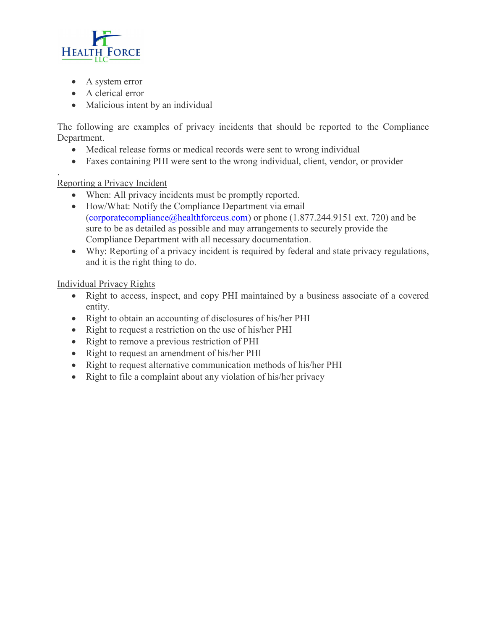

- A system error
- A clerical error
- Malicious intent by an individual

The following are examples of privacy incidents that should be reported to the Compliance Department.

- Medical release forms or medical records were sent to wrong individual
- Faxes containing PHI were sent to the wrong individual, client, vendor, or provider

. Reporting a Privacy Incident

- When: All privacy incidents must be promptly reported.
- How/What: Notify the Compliance Department via email (corporatecompliance@healthforceus.com) or phone (1.877.244.9151 ext. 720) and be sure to be as detailed as possible and may arrangements to securely provide the Compliance Department with all necessary documentation.
- Why: Reporting of a privacy incident is required by federal and state privacy regulations, and it is the right thing to do.

Individual Privacy Rights

- Right to access, inspect, and copy PHI maintained by a business associate of a covered entity.
- Right to obtain an accounting of disclosures of his/her PHI
- Right to request a restriction on the use of his/her PHI
- Right to remove a previous restriction of PHI
- Right to request an amendment of his/her PHI
- Right to request alternative communication methods of his/her PHI
- Right to file a complaint about any violation of his/her privacy